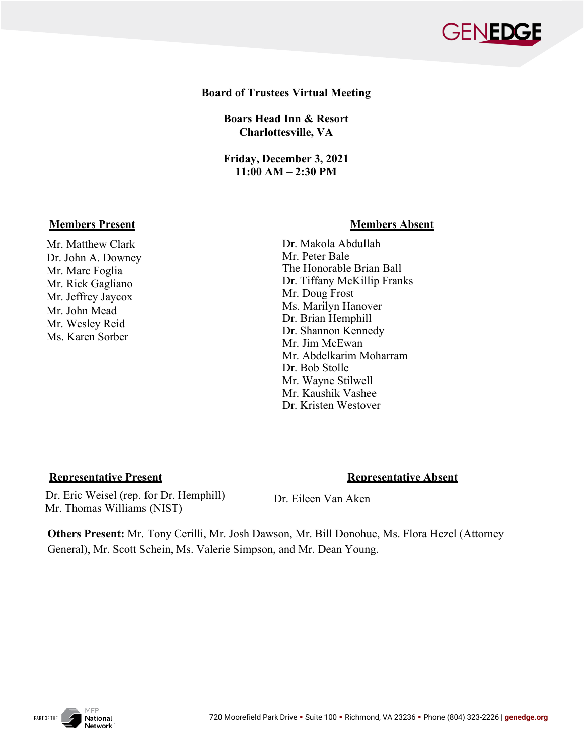

## **Board of Trustees Virtual Meeting**

**Boars Head Inn & Resort Charlottesville, VA**

**Friday, December 3, 2021 11:00 AM – 2:30 PM**

## **Members Present Communist Present Absent Absent Absent Absent Absent Absent Absent Absent Absent Absent Absent**

Mr. Matthew Clark Dr. John A. Downey Mr. Marc Foglia Mr. Rick Gagliano Mr. Jeffrey Jaycox Mr. John Mead Mr. Wesley Reid Ms. Karen Sorber

 Dr. Makola Abdullah Mr. Peter Bale The Honorable Brian Ball Dr. Tiffany McKillip Franks Mr. Doug Frost Ms. Marilyn Hanover Dr. Brian Hemphill Dr. Shannon Kennedy Mr. Jim McEwan Mr. Abdelkarim Moharram Dr. Bob Stolle Mr. Wayne Stilwell Mr. Kaushik Vashee Dr. Kristen Westover

## **Representative Present Representative Absent**

 Dr. Eric Weisel (rep. for Dr. Hemphill) Mr. Thomas Williams (NIST)

Dr. Eileen Van Aken

**Others Present:** Mr. Tony Cerilli, Mr. Josh Dawson, Mr. Bill Donohue, Ms. Flora Hezel (Attorney General), Mr. Scott Schein, Ms. Valerie Simpson, and Mr. Dean Young.

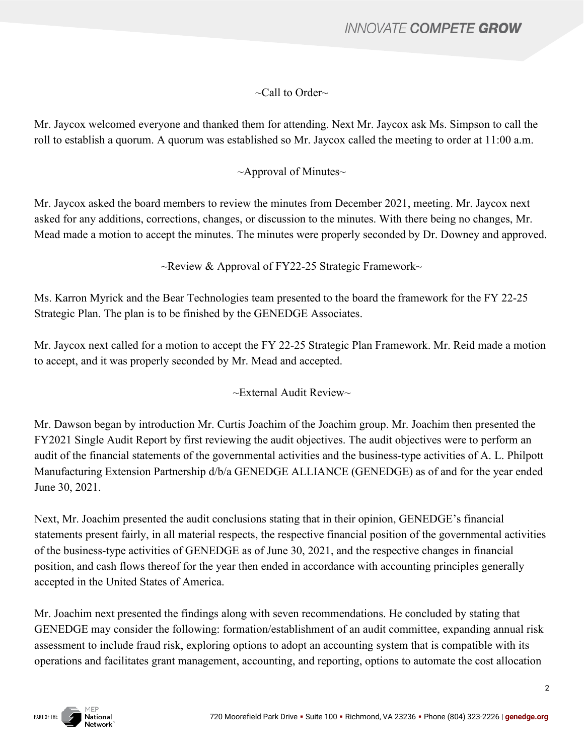# **INNOVATE COMPETE GROW**

# $\sim$ Call to Order $\sim$

Mr. Jaycox welcomed everyone and thanked them for attending. Next Mr. Jaycox ask Ms. Simpson to call the roll to establish a quorum. A quorum was established so Mr. Jaycox called the meeting to order at 11:00 a.m.

# $\sim$ Approval of Minutes $\sim$

Mr. Jaycox asked the board members to review the minutes from December 2021, meeting. Mr. Jaycox next asked for any additions, corrections, changes, or discussion to the minutes. With there being no changes, Mr. Mead made a motion to accept the minutes. The minutes were properly seconded by Dr. Downey and approved.

 $\sim$ Review & Approval of FY22-25 Strategic Framework $\sim$ 

Ms. Karron Myrick and the Bear Technologies team presented to the board the framework for the FY 22-25 Strategic Plan. The plan is to be finished by the GENEDGE Associates.

Mr. Jaycox next called for a motion to accept the FY 22-25 Strategic Plan Framework. Mr. Reid made a motion to accept, and it was properly seconded by Mr. Mead and accepted.

 $\sim$ External Audit Review $\sim$ 

Mr. Dawson began by introduction Mr. Curtis Joachim of the Joachim group. Mr. Joachim then presented the FY2021 Single Audit Report by first reviewing the audit objectives. The audit objectives were to perform an audit of the financial statements of the governmental activities and the business-type activities of A. L. Philpott Manufacturing Extension Partnership d/b/a GENEDGE ALLIANCE (GENEDGE) as of and for the year ended June 30, 2021.

Next, Mr. Joachim presented the audit conclusions stating that in their opinion, GENEDGE's financial statements present fairly, in all material respects, the respective financial position of the governmental activities of the business-type activities of GENEDGE as of June 30, 2021, and the respective changes in financial position, and cash flows thereof for the year then ended in accordance with accounting principles generally accepted in the United States of America.

Mr. Joachim next presented the findings along with seven recommendations. He concluded by stating that GENEDGE may consider the following: formation/establishment of an audit committee, expanding annual risk assessment to include fraud risk, exploring options to adopt an accounting system that is compatible with its operations and facilitates grant management, accounting, and reporting, options to automate the cost allocation

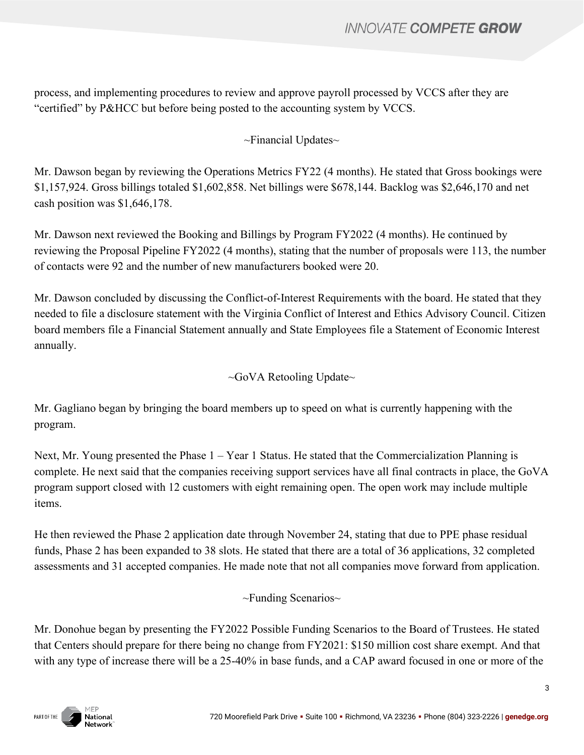process, and implementing procedures to review and approve payroll processed by VCCS after they are "certified" by P&HCC but before being posted to the accounting system by VCCS.

# $\sim$ Financial Updates $\sim$

Mr. Dawson began by reviewing the Operations Metrics FY22 (4 months). He stated that Gross bookings were \$1,157,924. Gross billings totaled \$1,602,858. Net billings were \$678,144. Backlog was \$2,646,170 and net cash position was \$1,646,178.

Mr. Dawson next reviewed the Booking and Billings by Program FY2022 (4 months). He continued by reviewing the Proposal Pipeline FY2022 (4 months), stating that the number of proposals were 113, the number of contacts were 92 and the number of new manufacturers booked were 20.

Mr. Dawson concluded by discussing the Conflict-of-Interest Requirements with the board. He stated that they needed to file a disclosure statement with the Virginia Conflict of Interest and Ethics Advisory Council. Citizen board members file a Financial Statement annually and State Employees file a Statement of Economic Interest annually.

 $\sim$ GoVA Retooling Update $\sim$ 

Mr. Gagliano began by bringing the board members up to speed on what is currently happening with the program.

Next, Mr. Young presented the Phase 1 – Year 1 Status. He stated that the Commercialization Planning is complete. He next said that the companies receiving support services have all final contracts in place, the GoVA program support closed with 12 customers with eight remaining open. The open work may include multiple items.

He then reviewed the Phase 2 application date through November 24, stating that due to PPE phase residual funds, Phase 2 has been expanded to 38 slots. He stated that there are a total of 36 applications, 32 completed assessments and 31 accepted companies. He made note that not all companies move forward from application.

~Funding Scenarios~

Mr. Donohue began by presenting the FY2022 Possible Funding Scenarios to the Board of Trustees. He stated that Centers should prepare for there being no change from FY2021: \$150 million cost share exempt. And that with any type of increase there will be a 25-40% in base funds, and a CAP award focused in one or more of the